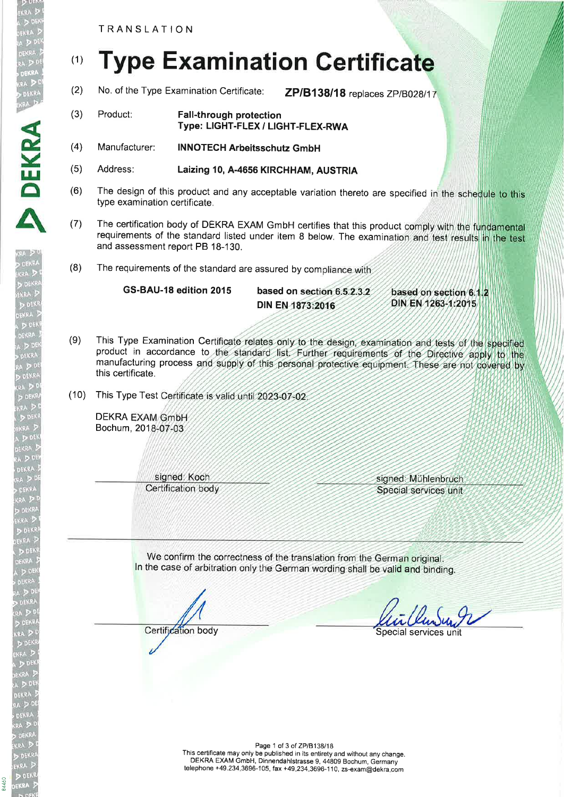TRANSLATION

,DEKRA

**DEKR** 

A

DEßRA

84460

(3)

## (1) **Type Examination Certificate**

- (2) No. of the Type Examination Certificate: ZP/B138/18 replaces ZP/B028/17
	- Product: Fall-through protection Type: LIGHT-FLEX / L|GHT-FLEX-RWA
- Manufacturer: INNOTECH Arbeitsschutz GmbH (4)
- Address: Laizing 10, A-4656 KIRCHHAM, AUSTRIA (5)
- The design of this product and any acceptable variation thereto are specified in the schedule to this type examination certificate. (6)
- (7) The certification body of DEKRA EXAM GmbH certifies that this product comply with the fundamental requirements of the standard listed under item 8 below. The examination and test results in the test and assessment report PB 18-130.
- (8) The requirements of the standard are assured by compliance with

GS-BAU-18 edition 2015 based on section 6.5.2.3.2 based on section 6.1.2 DIN EN 1263-1:2015 DIN EN 1873:2016

- (9) This Type Examination Certificate relates only to the design, examination and tests of the specified product in accordance to the standard list. Further requirements of the Directive apply to the manufacturing process and supply of this personal protective equipment. These are not covered by this certificate.
- (10) This Type Test Certificate is valid until 2023-07-02

**DEKRA EXAM GmbH** Bochum, 2018-07-03

> signed: Koch Certification body

signed: Mühlenbruch Special services unit

We confirm the correctness of the translation from the German original. In the case of arbitration only the German wording shall be valid and binding.

Certification body Special services unit

Page 1 of 3 of ZP/B138/18 This certificate may only be published in its entirety and without any change. DEKRA EXAM GmbH, Dinnendahlstrasse 9, 44809 Bochum, Germany telephone +49.234.3696-105, fax +49.234.3696-1 10, zs-exam@dekra.com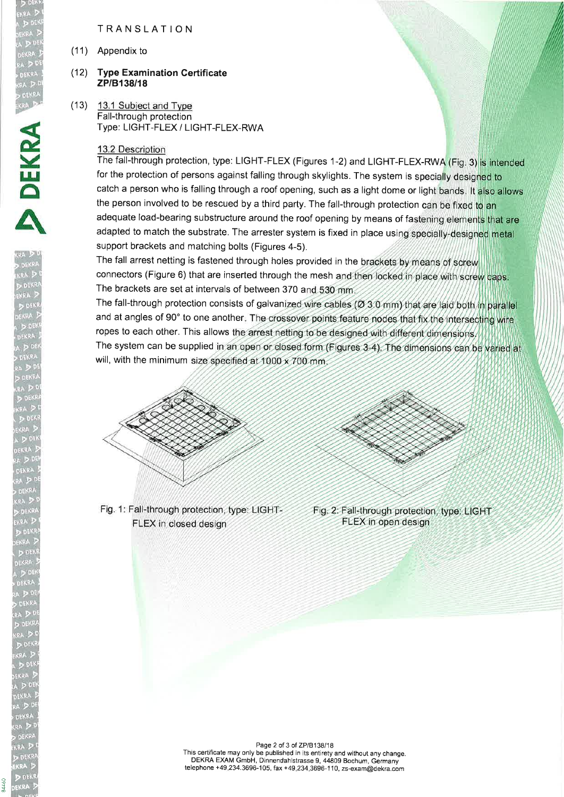TRANSLATION

(11) Appendix to

## (12) **Type Examination Certificate** ZP/B138/18

 $(13)$  13.1 Subject and Type Fall-through protection Type: LIGHT-FLEX / LIGHT-FLEX-RWA

## 13.2 Description

The fall-through protection, type: LIGHT-FLEX (Figures 1-2) and LIGHT-FLEX-RWA (Fig. 3) is intended for the protection of persons against falling through skylights. The system is specially designed to catch a person who is falling through a roof opening, such as a light dome or light bands. It also allows the person involved to be rescued by a third party. The fall-through protection can be fixed to an adequate load-bearing substructure around the roof opening by means of fastening elements that are adapted to match the substrate. The arrester system is fixed in place using specially-designed metal support brackets and matching bolts (Figures 4-5).

The fall arrest netting is fastened through holes provided in the brackets by means of screw connectors (Figure 6) that are inserted through the mesh and then locked in place with screw caps. The brackets are set at intervals of between 370 and 530 mm.

The fall-through protection consists of galvanized wire cables (Ø 3.0 mm) that are laid both in parallel and at angles of 90° to one another. The crossover points feature nodes that fix the intersecting wire ropes to each other. This allows the arrest netting to be designed with different dimensions, The system can be supplied in an open or closed form (Figures 3-4). The dimensions can be varied at will, with the minimum size specified at  $1000 \times 700$  mm.



Fig. 1: Fall-through protection, type: LIGHT-FLEX in closed design



Fig. 2: Fall-through protection, type: LIGHT FLEX in open design